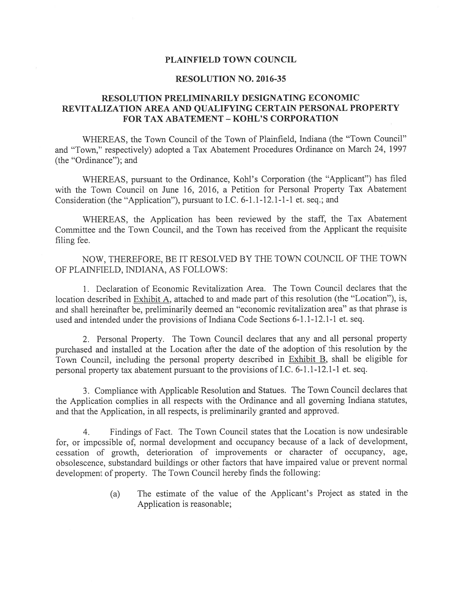### PLAINFIELD TOWN COUNCIL

### RESOLUTION NO. 2016-35

## RESOLUTION PRELIMINARILY DESIGNATING ECONOMIC REVITALIZATION AREA AND QUALIFYING CERTAIN PERSONAL PROPERTY FOR TAX ABATEMENT - KOHL'S CORPORATION

WHEREAS, the Town Council of the Town of Plainfield, Indiana (the "Town Council" and "Town," respectively) adopted <sup>a</sup> Tax Abatement Procedures Ordinance on March 24, 1997 (the "Ordinance"); and

WHEREAS, pursuan<sup>t</sup> to the Ordinance, Kohl's Corporation (the "Applicant") has filed with the Town Council on June 16, 2016, <sup>a</sup> Petition for Personal Property Tax Abatement Consideration (the "Application"), pursuan<sup>t</sup> to I.C. 6-1.1-12.1-1-1 et. seq.; and

WHEREAS, the Application has been reviewed by the staff, the Tax Abatement Committee and the Town Council, and the Town has received from the Applicant the requisite filing fee.

NOW, THEREFORE, BE IT RESOLVED BY THE TOWN COUNCIL OF THE TOWN OF PLAINFIELD, INDIANA, AS FOLLOWS:

1. Declaration of Economic Revitalization Area. The Town Council declares that the location described in Exhibit A, attached to and made part of this resolution (the "Location"), is, and shall hereinafter be, preliminarily deemed an "economic revitalization area" as that <sup>p</sup>hrase is used and intended under the provisions of Indiana Code Sections 6-1.1-12.1-1 et. seq.

2. Personal Property. The Town Council declares that any and all persona<sup>l</sup> property purchased and installed at the Location afier the date of the adoption of this resolution by the Town Council, including the persona<sup>l</sup> property described in Exhibit B, shall be eligible for persona<sup>l</sup> property tax abatement pursuan<sup>t</sup> to the provisions of I.C. 6-1.1-12.1-1 et. seq.

3. Compliance with Applicable Resolution and Statues. The Town Council declares that the Application complies in all respects with the Ordinance and all governing Indiana statutes, and that the Application, in all respects, is preliminarily granted and approved.

4. Findings of Fact. The Town Council states that the Location is now undesirable for, or impossible of, normal development and occupancy because of <sup>a</sup> lack of development, cessation of growth, deterioration of improvements or character of occupancy, age, obsolescence, substandard buildings or other factors that have impaired value or preven<sup>t</sup> normal development of property. The Town Council hereby finds the following:

> (a) The estimate of the value of the Applicant's Project as stated in the Application is reasonable;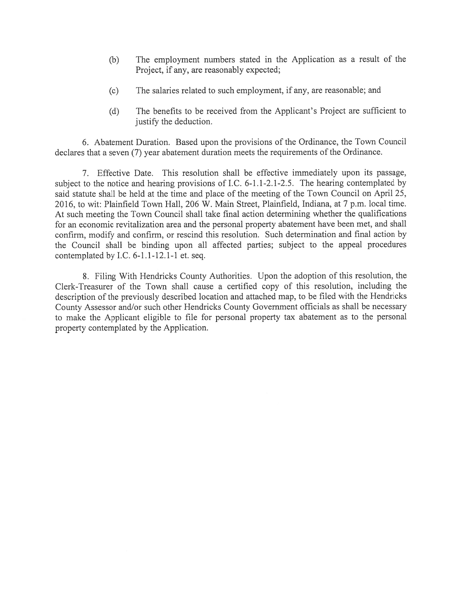- (b) The employment numbers stated in the Application as <sup>a</sup> result of the Project, if any, are reasonably expected;
- (c) The salaries related to such employment, if any, are reasonable; and
- (d) The benefits to be received from the Applicant's Project are sufficient to justify the deduction.

6. Abatement Duration. Based upon the provisions of the Ordinance, the Town Council declares that <sup>a</sup> seven (7) year abatement duration meets the requirements of the Ordinance.

7. Effective Date. This resolution shall be effective immediately upon its passage, subject to the notice and hearing provisions of I.C. 6-1.1-2.1-2.5. The hearing contemplated by said statute shall be held at the time and place of the meeting of the Town Council on April 25, 2016, to wit: Plainfield Town Hall, 206 W. Main Street, Plainfield, Indiana, at 7 p.m. local time. At such meeting the Town Council shall take final action determining whether the qualifications for an economic revitalization area and the personal property abatement have been met, and shall confirm, modify and confirm, or rescind this resolution. Such determination and final action by the Council shall be binding upon all affected parties; subject to the appea<sup>l</sup> procedures contemplated by I.C. 6-1.1-12.1-1 et. seq.

8. Filing With Hendricks County Authorities. Upon the adoption of this resolution, the Clerk-Treasurer of the Town shall cause <sup>a</sup> certified copy of this resolution, including the description of the previously described location and attached map, to be filed with the Hendricks County Assessor and/or such other Hendricks County Government officials as shall be necessary to make the Applicant eligible to file for persona<sup>l</sup> property tax abatement as to the persona<sup>l</sup> property contemplated by the Application.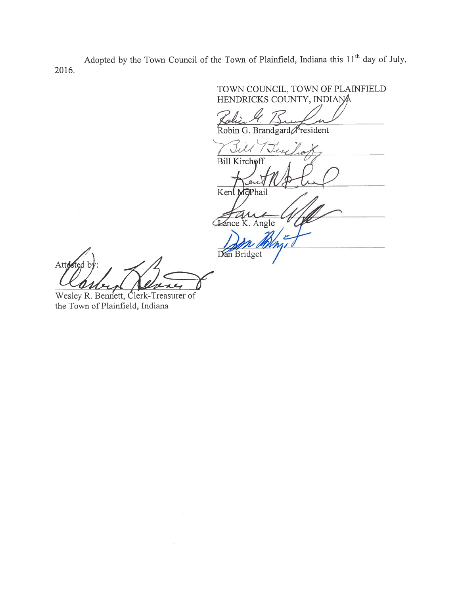Adopted by the Town Council of the Town of Plainfield, Indiana this 11<sup>th</sup> day of July, 2016.

TOWN COUNCIL, TOWN OF PLAINFIELD<br>HENDRICKS COUNTY, INDIANA Robin G. Brandgard President Till Jus Bill Kirchoff Kent McPhail Tance K. Angle Dan Bridget

Wesley R. Bennett, Clerk-Treasurer of the Town of Plainfield, Indiana

Attested b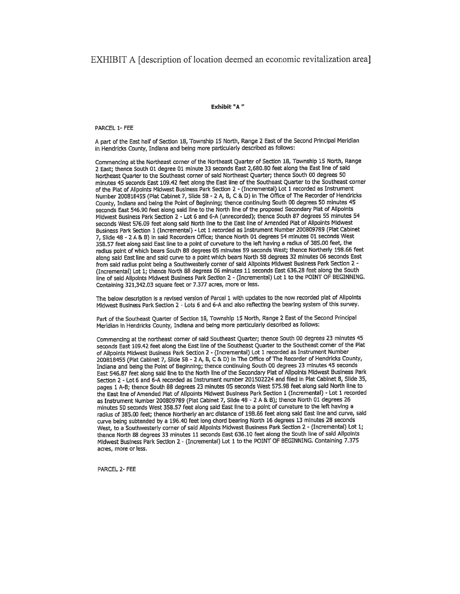### EXHIBIT A [description of location deemed an economic revitalization area]

#### Exhibit "A

#### PARCEL 1- FEE

A part of the East half of Section 18, Township 15 North, Range 2 East of the Second Principal Meridian In Hendricks County, Indiana and being more particularly described as follows:

Commencing at the Northeast corner of the Northeast Quarter of Section 18, Township 15 North, Range <sup>2</sup> East; thence South <sup>01</sup> degree <sup>01</sup> mInute <sup>33</sup> seconds East 2,680.80 feet along the East line of said Northeast Quarter to the Southeast corner of said Northeast Quartet; thence South <sup>00</sup> degrees <sup>50</sup> minutes 45 seconds East 109.42 feet along the East line of the Southeast Quarter to the Southeast corner of the Plat of Allpoints Midwest Business Park Section 2 - (Incremental) Lot 1 recorded as Instrument Number <sup>200818455</sup> (Plat Cabinet 7, Slide <sup>58</sup> - <sup>2</sup> A, B, <sup>C</sup> & D) In The Office of The Recorder of Hendricks County, Indiana and being the Point of Beginning; thence continuing South <sup>00</sup> degrees <sup>50</sup> minutes <sup>45</sup> seconds East 546.90 feet along said line to the North line of the propose<sup>d</sup> Secondary Plat of Atlpolnts Midwest Business Park Section Z - Lot 6 and 6-A (unrecorded); thence South 87 degrees 55 minutes 54 seconds West 576.09 feet along said North line to the East line of Amended Plat of Allpoints Midwest Business Park Section <sup>1</sup> (Incremental) - Lot <sup>I</sup> recorded as Instrument Number <sup>200809789</sup> (Ptat Cabinet 7, Slide <sup>48</sup> - <sup>2</sup> <sup>A</sup> & B) in said Recorders Office; thence North <sup>01</sup> degrees <sup>54</sup> mInutes <sup>01</sup> seconds West 358.57 feet along said East line to <sup>a</sup> point of curvature to the left having <sup>a</sup> radius of 385,00 feet, the radius point of which bears South <sup>88</sup> degrees <sup>05</sup> mInutes <sup>59</sup> seconds West; thence Northerly 198.66 feet along said East line and said curve to <sup>a</sup> point which bears North <sup>58</sup> degrees <sup>32</sup> mInutes <sup>06</sup> seconds East from said radius point being <sup>a</sup> Southwesterly cornet of said Ailpoints Midwest Business Park Section <sup>2</sup> - (Incremental) Lot 1; thence North <sup>88</sup> degrees <sup>06</sup> mInutes <sup>11</sup> seconds East 636.28 feet along the South line of said Alipoints Midwest Business Park Section 2 - (Incremental) Lot 1 to the POINT OF BEGINNING. Containing 321,342.03 square feet or 7.377 acres, more or less,

The below description is a revised version of Parcel 1 with updates to the now recorded plat of Alipoints Midwest Business Park Section <sup>2</sup> - Lots <sup>6</sup> and 6-A and also reflecting the bearing system of this survey.

Part of the Southeast Quarter of Section 18, Township 15 North, Range 2 East of the Second Principal Meridian In Hendricks County, Indiana and being more particularly described as follows:

Commencing at the northeast corner of said Southeast Quarter; thence South <sup>00</sup> degrees <sup>23</sup> minutes <sup>45</sup> seconds East 109.42 feet along the East line of the Southeast Quarter to the Southeast corner of the Flat of Ailpoints Midwest Business Park Section <sup>2</sup> - (Incremental) Lot <sup>1</sup> recorded as Instrument Number <sup>200818455</sup> (Flat Cabinet 7, Slide <sup>58</sup> - <sup>2</sup> A, B, <sup>C</sup> & 0) In The Office of The Recorder of Hendricks County, Indiana and being the Point of Beginning; thence continuing South <sup>00</sup> degrees <sup>23</sup> minutes <sup>45</sup> seconds East 546.87 feet along said line to the North line of the Secondary Plat of Alipoints Midwest Business Park Section 2 - Lot 6 and 6-A recorded as Instrument number 201502224 and flied in Fiat Cabinet 8, SlIde 35, pages <sup>1</sup> A-B; thence South <sup>88</sup> degrees <sup>23</sup> minutes OS seconds West 575.98 feet along said North line to the East line of Amended Plat of Allpoints Midwest Business Park Section 1 (Incremental) - Lot 1 recorded as Instrument Number <sup>200809789</sup> (Piat Cabinet 7, SlIde <sup>48</sup> - <sup>2</sup> <sup>A</sup> & B); thence North <sup>01</sup> degrees <sup>26</sup> minutes SO seconds West 358.57 feet along said East line to <sup>a</sup> point of curvature to the left having <sup>a</sup> radius of 385.00 feet; thence Northerly an arc distance of 198.66 feet along said East line and curve, said curve being subtended by a 196.40 feet long chord bearing North 16 degrees 13 minutes 28 seconds West, to <sup>a</sup> Southwesterly corner of said Alipoints Midwest Business Park Section <sup>2</sup> - (Incremental) Lot 1; thence North <sup>88</sup> degrees <sup>33</sup> minutes <sup>11</sup> seconds East 636.10 feet along the South line of said Ailpoints Midwest Business Park Section 2 - (Incremental) Lot 1 to the POINT OF BEGINNING. Containing 7.375 acres, more or less.

PARCEL 2- FEE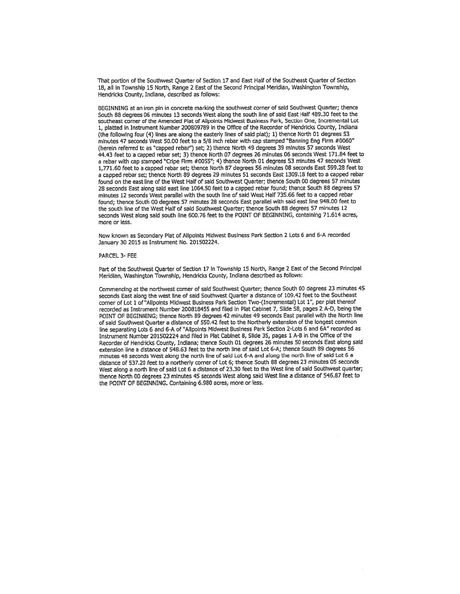That portion of the Southwest Quarter of Section 17 and East Half of the Southeast Quarter of Section 18, all In Township 15 North, Range <sup>2</sup> East of the Second Principal Meridian, Washington Township, Hendricks County, Indiana, described as follows:

BEGINNING at an iron <sup>p</sup>in in concrete marking the southwest corner of said Southwest Quarter; thence South <sup>88</sup> degrees <sup>06</sup> minutes <sup>13</sup> seconds West along the south line of said East Half 489.30 feet to the southeast corner of the Amended Piat of Alipoints Midwest Business Park, Section One, Incremental Lot 1, <sup>p</sup>latted in Instrument Number <sup>200809789</sup> in the Office of the Recorder of Hendricks County, Indiana (the following four (4) lines are along the easterly lines of said <sup>p</sup>lat); 1) thence North <sup>01</sup> degrees <sup>53</sup> minutes 47 seconds West 50.00 feet to <sup>a</sup> 5/8 inch rebar with cap stamped "Banning Eng Firm #0060" (herein referred to as "capped rebar") set; 2) thence North 49 degrees 39 mInutes 57 seconds West 44.43 feet to <sup>a</sup> cappe<sup>d</sup> rebar set; 3) thence North <sup>07</sup> degrees <sup>26</sup> minutes <sup>06</sup> seconds West 171.84 feet to <sup>a</sup> rebar with cap stamped "Cripe Firm #0055"; 4) thence North <sup>01</sup> degrees <sup>53</sup> minutes <sup>47</sup> seconds West 1,771.60 feet to <sup>a</sup> capped rebar set; thence North <sup>87</sup> degrees <sup>56</sup> minutes <sup>08</sup> seconds East 599.28 feet to <sup>a</sup> cappe<sup>d</sup> rebar set; thence North <sup>89</sup> degrees <sup>29</sup> minutes <sup>51</sup> seconds East 1309.1\$ feet to <sup>a</sup> cappe<sup>d</sup> rebar found on the east line of the West Half of said Southwest Quarter; thence South 00 degrees 57 minutes <sup>28</sup> seconds East along said east line 1064,50 feet to <sup>a</sup> cappe<sup>d</sup> rebar found; thence South <sup>88</sup> degrees <sup>57</sup> minutes <sup>12</sup> seconds West parallel with the south line of said West Half 735.66 teet to <sup>a</sup> cappe<sup>d</sup> rebar found; thence South 00 degrees 57 minutes 28 seconds East parallel with said east line 948.00 feet to the south line of the West Half of said Southwest Quarter; thence South \$8 degrees 57 minutes 12 seconds West along said south line 600.76 feet to the POINT OF BEGINNING, containing 71.614 acres, more or less

Now known as Secondary Plat of Ailpolnts Midwest Business Park Section <sup>2</sup> Lots <sup>6</sup> and 6-A recorded January 30 2015 as Instrument No. 201502224.

#### PARCEL 3- FEE

Part of the Southwest Quarter of Section <sup>17</sup> In Township <sup>15</sup> North, Range <sup>2</sup> East of the Second Principal Meridian, Washington Township, Hendricks County, Indiana described as follows:

Commencing at the northwest corner of said Southwest Quarter; thence South <sup>00</sup> degrees <sup>23</sup> minutes <sup>45</sup> seconds East along the west line of said Southwest Quarter <sup>a</sup> distance of 109.42 feet to the Southeast corner of Lot <sup>1</sup> of"Ailpolnts Midwest Business Park Section Two-(!ncremental) Lot 1", per <sup>p</sup>lat thereof recorded as Instrument Number 200818455 and flied in Plat Cabinet 7, SlIde 58, pages 2 A-D, being the POINT OF BEGINNING; thence North <sup>89</sup> degrees <sup>42</sup> minutes <sup>49</sup> seconds East parallel with the North line of said Southwest Quarter <sup>a</sup> distance of 550.42 feet to the Northerly extension of the longest common line separating Lots <sup>6</sup> and 6-A of "Allpoints Midwest Business Park Section 2-Lots <sup>6</sup> and 6K' recorded as Instrument Number 201502224 and filed in Plat Cabinet 8, Slide 35, pages <sup>1</sup> A-B in the Office of the Recorder of Hendricks County, Indiana; thence South <sup>01</sup> degrees <sup>26</sup> minutes <sup>50</sup> seconds East along said extension line <sup>a</sup> distance of 548.63 feet to the north line of said Lot 6-A; thence South \$9 degrees 56 minutes <sup>48</sup> seconds West along the north line of said Lot 6-A and along the north line of said Lot <sup>6</sup> <sup>a</sup> distance of 537.20 feet to <sup>a</sup> northerly corner of Lot 6; thence South <sup>88</sup> degrees <sup>23</sup> mInutes <sup>05</sup> seconds West along <sup>a</sup> north line of said Lot <sup>6</sup> <sup>a</sup> distance of 23.30 feet to the West line of said Southwest quarter; thence North <sup>00</sup> degrees <sup>23</sup> minutes <sup>45</sup> seconds West along said West line <sup>a</sup> distance of 546.87 feet to the POINT OF BEGINNING. Containing 6.980 acres, more or less.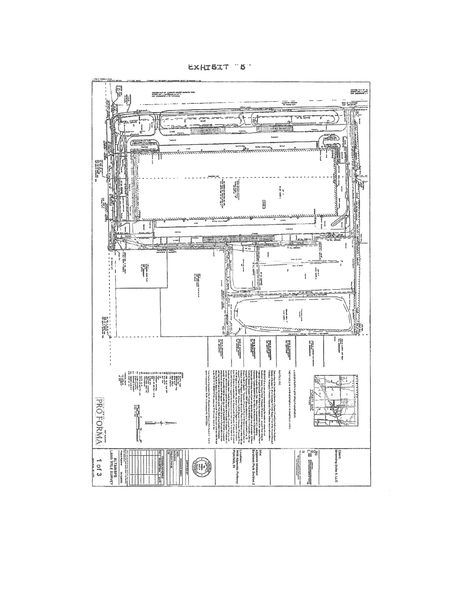

EXHIBIT "B"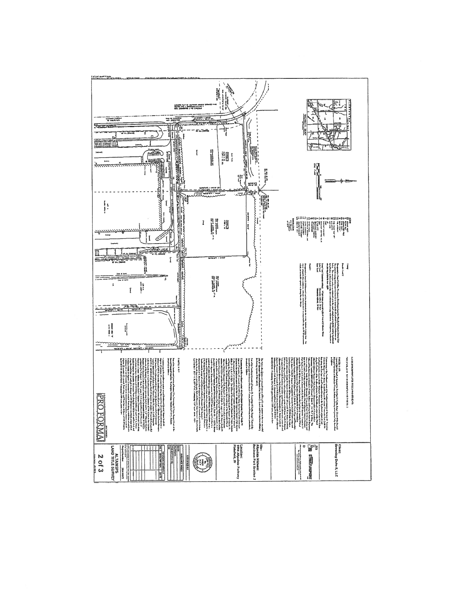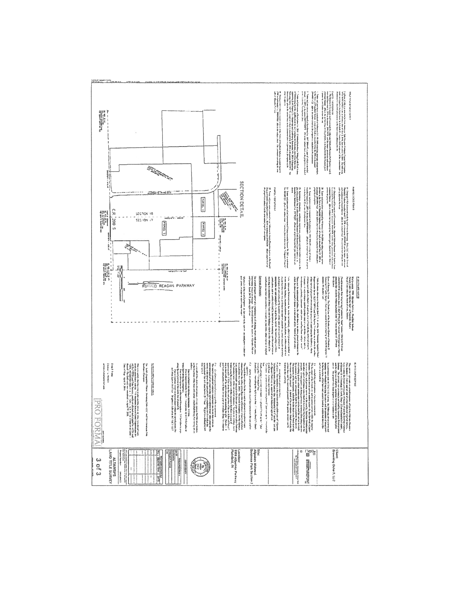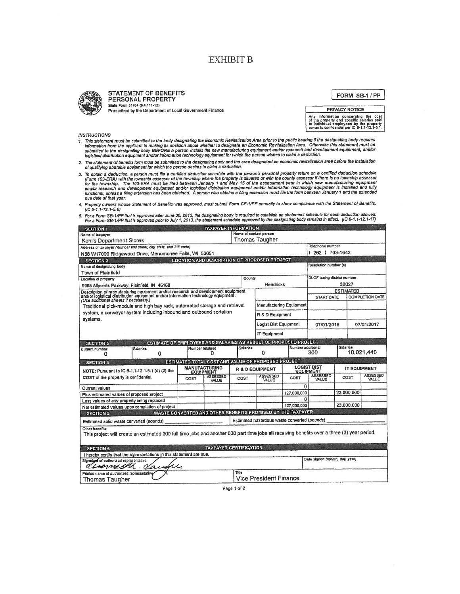# **EXHIBIT B**



STATEMENT OF BENEFITS PERSONAL PROPERTY State Form 51764 (R4 / 11-15) Prescribed by the Department of Local Government Finance

FORM SB-1/PP

PRIVACY NOTICE Any information concerning the cost<br>of the property and specific salaries paid<br>to individual employees by the property<br>owner is confidential per iC 5-1,1-12,1-5.1.

**INSTRUCTIONS** 

- ויסטרו באוויז (האחר באוויז) https://www.industrial must be submitted to the body designating the Economic Revita<br>This statement must be submitted to the body designating the Economic Revital and Powlalization Area. Otherw
- 2. The statement of benefits form must be submitted to the designating body and the area designated an economic revitalization area before the installation<br>of qualifying abatable equipment for which the person desires to c
- To obtain a deduction, a person must like a certified deduction schedule with he person's personal property return on a certified deduction schedule<br>(Form 103-ERA) with the township assessor of the township where the prope due date of that year.

| <b>SECTION 1</b>                                                                                                                                                                                               |                        |                                          | <b>TAXPAYER INFORMATION</b>                        |             |                                              |                   |                                                                 |                                    |                          |  |
|----------------------------------------------------------------------------------------------------------------------------------------------------------------------------------------------------------------|------------------------|------------------------------------------|----------------------------------------------------|-------------|----------------------------------------------|-------------------|-----------------------------------------------------------------|------------------------------------|--------------------------|--|
| Name of taxpayer                                                                                                                                                                                               | Name of contact person |                                          |                                                    |             |                                              |                   |                                                                 |                                    |                          |  |
| Thomas Taugher<br>Kohl's Department Stores                                                                                                                                                                     |                        |                                          |                                                    |             |                                              |                   |                                                                 |                                    |                          |  |
| Address of taxpayer (number and street, city, state, and ZIP code)                                                                                                                                             |                        |                                          |                                                    |             |                                              |                   | Telephone number                                                |                                    |                          |  |
| 262 ) 703-1642<br>N56 W17000 Ridgewood Drive, Menomonee Falls, WI 53051                                                                                                                                        |                        |                                          |                                                    |             |                                              |                   |                                                                 |                                    |                          |  |
| <b>LOCATION AND DESCRIPTION OF PROPOSED PROJECT</b><br><b>SECTION 2</b>                                                                                                                                        |                        |                                          |                                                    |             |                                              |                   |                                                                 |                                    |                          |  |
| Resolution number (s)<br>Name of designating body                                                                                                                                                              |                        |                                          |                                                    |             |                                              |                   |                                                                 |                                    |                          |  |
| Town of Plainfield                                                                                                                                                                                             |                        |                                          |                                                    |             |                                              |                   |                                                                 |                                    |                          |  |
| Location of property                                                                                                                                                                                           |                        |                                          |                                                    |             | County                                       |                   |                                                                 | <b>DLGF</b> taxing district number |                          |  |
| 32027<br>Hendricks<br>9998 Allpoints Parkway, Plainfield, IN 46168                                                                                                                                             |                        |                                          |                                                    |             |                                              |                   |                                                                 |                                    |                          |  |
| Description of manufacturing equipment and/or research and development equipment<br>and/or logistical distribution equipment and/or information technology equipment.<br>(Use additional sheets if necessary.) |                        |                                          |                                                    |             |                                              |                   | <b>ESTIMATED</b><br><b>COMPLETION DATE</b><br><b>START DATE</b> |                                    |                          |  |
| Traditional pick-module and high bay rack, automated storage and retrieval                                                                                                                                     |                        |                                          |                                                    |             | <b>Manufacturing Equipment</b>               |                   |                                                                 |                                    |                          |  |
| system, a conveyor system including inbound and outbound sortation                                                                                                                                             |                        |                                          |                                                    |             |                                              |                   |                                                                 |                                    |                          |  |
| R & D Equipment<br>systems.                                                                                                                                                                                    |                        |                                          |                                                    |             |                                              |                   |                                                                 |                                    |                          |  |
|                                                                                                                                                                                                                |                        |                                          |                                                    |             | Logist Dist Equipment                        |                   | 07/01/2016                                                      |                                    | 07/01/2017               |  |
| <b>IT Equipment</b>                                                                                                                                                                                            |                        |                                          |                                                    |             |                                              |                   |                                                                 |                                    |                          |  |
| ESTIMATE OF EMPLOYEES AND SALARIES AS RESULT OF PROPOSED PROJECT<br><b>SECTION 3</b>                                                                                                                           |                        |                                          |                                                    |             |                                              |                   |                                                                 |                                    |                          |  |
| Current number<br>o                                                                                                                                                                                            | <b>Salaries</b><br>0   | Number retained                          | o                                                  | Salaries    | 0                                            | Number additional | 300                                                             | <b>Salaries</b>                    | 10,021,440               |  |
| <b>SECTION 4</b>                                                                                                                                                                                               |                        |                                          | ESTIMATED TOTAL COST AND VALUE OF PROPOSED PROJECT |             |                                              |                   |                                                                 |                                    |                          |  |
| NOTE: Pursuant to IC 6-1.1-12.1-5.1 (d) (2) the<br>COST of the property is confidential.                                                                                                                       |                        | <b>MANUFACTURING</b><br><b>EQUIPMENT</b> |                                                    |             | R & D EQUIPMENT                              |                   | <b>LOGIST DIST</b><br><b>EQUIPMENT</b>                          |                                    | <b>IT EQUIPMENT</b>      |  |
|                                                                                                                                                                                                                |                        | COST                                     | <b>ASSESSED</b><br>VALUE                           | COST        | <b>ASSESSED</b><br>VALUE                     | COST              | <b>ASSESSED</b><br>VALUE                                        | COST                               | <b>ASSESSED</b><br>VALUE |  |
| Current values                                                                                                                                                                                                 |                        |                                          |                                                    |             |                                              | O                 |                                                                 |                                    |                          |  |
| Plus estimated values of proposed project                                                                                                                                                                      |                        |                                          |                                                    |             |                                              | 127,000,000       |                                                                 | 23,000,000                         |                          |  |
| Less values of any property being replaced                                                                                                                                                                     |                        |                                          |                                                    |             |                                              | o                 |                                                                 |                                    |                          |  |
| Net estimated values upon completion of project                                                                                                                                                                |                        |                                          |                                                    | 127,000.000 |                                              |                   | 23.000.000                                                      |                                    |                          |  |
| WASTE CONVERTED AND OTHER BENEFITS PROMISED BY THE TAXPAYER<br><b>SECTION 5</b>                                                                                                                                |                        |                                          |                                                    |             |                                              |                   |                                                                 |                                    |                          |  |
| Estimated solid waste converted (pounds)                                                                                                                                                                       |                        |                                          |                                                    |             | Estimated hazardous waste converted (pounds) |                   |                                                                 |                                    |                          |  |
| Other benefits:                                                                                                                                                                                                |                        |                                          |                                                    |             |                                              |                   |                                                                 |                                    |                          |  |
| This project will create an estimated 300 full time jobs and another 600 part time jobs all receiving benefits over a three (3) year period.                                                                   |                        |                                          |                                                    |             |                                              |                   |                                                                 |                                    |                          |  |
| <b>TAXPAYER CERTIFICATION</b><br><b>SECTION 6</b>                                                                                                                                                              |                        |                                          |                                                    |             |                                              |                   |                                                                 |                                    |                          |  |
| I hereby certify that the representations in this statement are true.                                                                                                                                          |                        |                                          |                                                    |             |                                              |                   |                                                                 |                                    |                          |  |
| Date signed (month, day, year)<br>Slanature of authorized representative<br>max                                                                                                                                |                        |                                          |                                                    |             |                                              |                   |                                                                 |                                    |                          |  |
| Title<br>Printed name of authorized representative                                                                                                                                                             |                        |                                          |                                                    |             |                                              |                   |                                                                 |                                    |                          |  |
| <b>Vice President Finance</b><br>Thomas Taugher                                                                                                                                                                |                        |                                          |                                                    |             |                                              |                   |                                                                 |                                    |                          |  |

Page 1 of 2

<sup>4.</sup> Property owners whose Statement of Benefils was approved, must submit Form CF-1/PP annually to show compliance with the Statement of Benefils.  $(IC 6-1.1-12.1-5.6)$ 

<sup>5.</sup> For a Form SB-1/PP that is approved after June 30, 2013, the designating body is required to establish an abatement schedule for each deduction allowed.<br>For a Form SB-1/PP that is approved prior to July 1, 2013, the aba